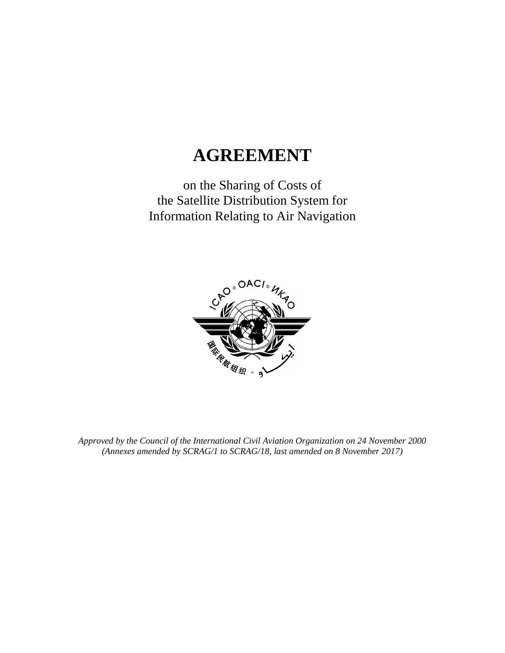# **AGREEMENT**

on the Sharing of Costs of the Satellite Distribution System for Information Relating to Air Navigation



*Approved by the Council of the International Civil Aviation Organization on 24 November 2000 (Annexes amended by SCRAG/1 to SCRAG/18, last amended on 8 November 2017)*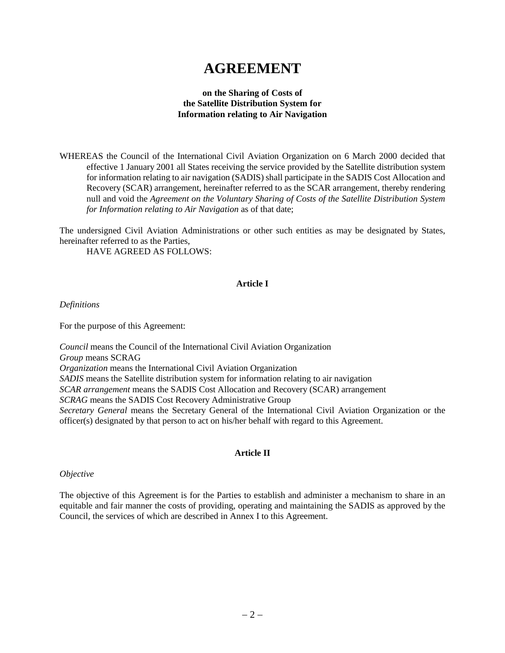## **AGREEMENT**

#### **on the Sharing of Costs of the Satellite Distribution System for Information relating to Air Navigation**

WHEREAS the Council of the International Civil Aviation Organization on 6 March 2000 decided that effective 1 January 2001 all States receiving the service provided by the Satellite distribution system for information relating to air navigation (SADIS) shall participate in the SADIS Cost Allocation and Recovery (SCAR) arrangement, hereinafter referred to as the SCAR arrangement, thereby rendering null and void the *Agreement on the Voluntary Sharing of Costs of the Satellite Distribution System for Information relating to Air Navigation* as of that date;

The undersigned Civil Aviation Administrations or other such entities as may be designated by States, hereinafter referred to as the Parties,

HAVE AGREED AS FOLLOWS:

#### **Article I**

*Definitions*

For the purpose of this Agreement:

*Council* means the Council of the International Civil Aviation Organization *Group* means SCRAG *Organization* means the International Civil Aviation Organization *SADIS* means the Satellite distribution system for information relating to air navigation *SCAR arrangement* means the SADIS Cost Allocation and Recovery (SCAR) arrangement *SCRAG* means the SADIS Cost Recovery Administrative Group *Secretary General* means the Secretary General of the International Civil Aviation Organization or the officer(s) designated by that person to act on his/her behalf with regard to this Agreement.

#### **Article II**

#### *Objective*

The objective of this Agreement is for the Parties to establish and administer a mechanism to share in an equitable and fair manner the costs of providing, operating and maintaining the SADIS as approved by the Council, the services of which are described in Annex I to this Agreement.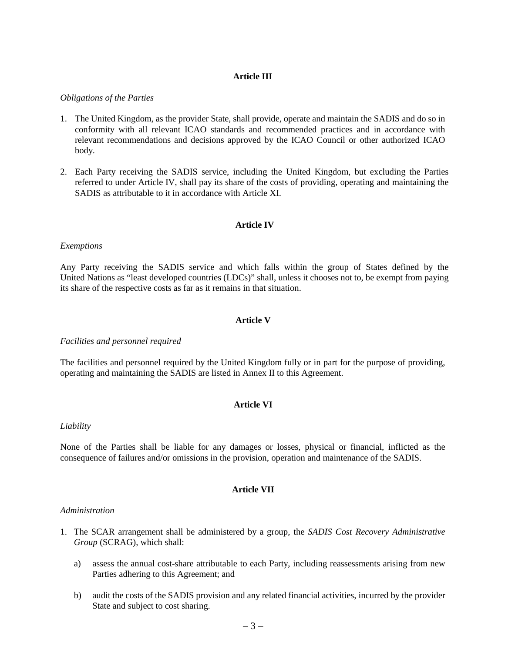#### **Article III**

#### *Obligations of the Parties*

- 1. The United Kingdom, as the provider State, shall provide, operate and maintain the SADIS and do so in conformity with all relevant ICAO standards and recommended practices and in accordance with relevant recommendations and decisions approved by the ICAO Council or other authorized ICAO body.
- 2. Each Party receiving the SADIS service, including the United Kingdom, but excluding the Parties referred to under Article IV, shall pay its share of the costs of providing, operating and maintaining the SADIS as attributable to it in accordance with Article XI.

#### **Article IV**

#### *Exemptions*

Any Party receiving the SADIS service and which falls within the group of States defined by the United Nations as "least developed countries (LDCs)" shall, unless it chooses not to, be exempt from paying its share of the respective costs as far as it remains in that situation.

#### **Article V**

#### *Facilities and personnel required*

The facilities and personnel required by the United Kingdom fully or in part for the purpose of providing, operating and maintaining the SADIS are listed in Annex II to this Agreement.

#### **Article VI**

#### *Liability*

None of the Parties shall be liable for any damages or losses, physical or financial, inflicted as the consequence of failures and/or omissions in the provision, operation and maintenance of the SADIS.

#### **Article VII**

#### *Administration*

- 1. The SCAR arrangement shall be administered by a group, the *SADIS Cost Recovery Administrative Group* (SCRAG), which shall:
	- a) assess the annual cost-share attributable to each Party, including reassessments arising from new Parties adhering to this Agreement; and
	- b) audit the costs of the SADIS provision and any related financial activities, incurred by the provider State and subject to cost sharing.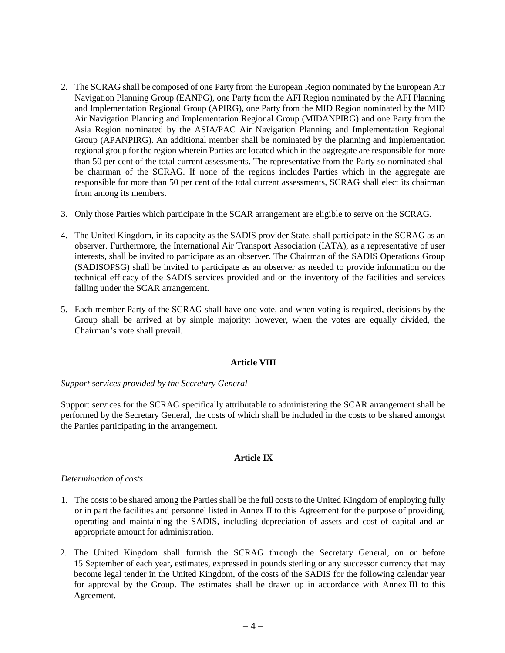- 2. The SCRAG shall be composed of one Party from the European Region nominated by the European Air Navigation Planning Group (EANPG), one Party from the AFI Region nominated by the AFI Planning and Implementation Regional Group (APIRG), one Party from the MID Region nominated by the MID Air Navigation Planning and Implementation Regional Group (MIDANPIRG) and one Party from the Asia Region nominated by the ASIA/PAC Air Navigation Planning and Implementation Regional Group (APANPIRG). An additional member shall be nominated by the planning and implementation regional group for the region wherein Parties are located which in the aggregate are responsible for more than 50 per cent of the total current assessments. The representative from the Party so nominated shall be chairman of the SCRAG. If none of the regions includes Parties which in the aggregate are responsible for more than 50 per cent of the total current assessments, SCRAG shall elect its chairman from among its members.
- 3. Only those Parties which participate in the SCAR arrangement are eligible to serve on the SCRAG.
- 4. The United Kingdom, in its capacity as the SADIS provider State, shall participate in the SCRAG as an observer. Furthermore, the International Air Transport Association (IATA), as a representative of user interests, shall be invited to participate as an observer. The Chairman of the SADIS Operations Group (SADISOPSG) shall be invited to participate as an observer as needed to provide information on the technical efficacy of the SADIS services provided and on the inventory of the facilities and services falling under the SCAR arrangement.
- 5. Each member Party of the SCRAG shall have one vote, and when voting is required, decisions by the Group shall be arrived at by simple majority; however, when the votes are equally divided, the Chairman's vote shall prevail.

#### **Article VIII**

#### *Support services provided by the Secretary General*

Support services for the SCRAG specifically attributable to administering the SCAR arrangement shall be performed by the Secretary General, the costs of which shall be included in the costs to be shared amongst the Parties participating in the arrangement.

#### **Article IX**

#### *Determination of costs*

- 1. The costs to be shared among the Parties shall be the full costs to the United Kingdom of employing fully or in part the facilities and personnel listed in Annex II to this Agreement for the purpose of providing, operating and maintaining the SADIS, including depreciation of assets and cost of capital and an appropriate amount for administration.
- 2. The United Kingdom shall furnish the SCRAG through the Secretary General, on or before 15 September of each year, estimates, expressed in pounds sterling or any successor currency that may become legal tender in the United Kingdom, of the costs of the SADIS for the following calendar year for approval by the Group. The estimates shall be drawn up in accordance with Annex III to this Agreement.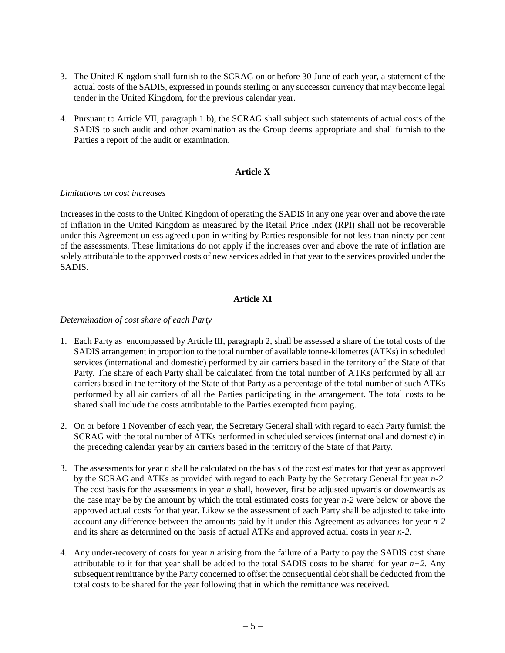- 3. The United Kingdom shall furnish to the SCRAG on or before 30 June of each year, a statement of the actual costs of the SADIS, expressed in pounds sterling or any successor currency that may become legal tender in the United Kingdom, for the previous calendar year.
- 4. Pursuant to Article VII, paragraph 1 b), the SCRAG shall subject such statements of actual costs of the SADIS to such audit and other examination as the Group deems appropriate and shall furnish to the Parties a report of the audit or examination.

#### **Article X**

#### *Limitations on cost increases*

Increases in the costs to the United Kingdom of operating the SADIS in any one year over and above the rate of inflation in the United Kingdom as measured by the Retail Price Index (RPI) shall not be recoverable under this Agreement unless agreed upon in writing by Parties responsible for not less than ninety per cent of the assessments. These limitations do not apply if the increases over and above the rate of inflation are solely attributable to the approved costs of new services added in that year to the services provided under the SADIS.

#### **Article XI**

#### *Determination of cost share of each Party*

- 1. Each Party as encompassed by Article III, paragraph 2, shall be assessed a share of the total costs of the SADIS arrangement in proportion to the total number of available tonne-kilometres (ATKs) in scheduled services (international and domestic) performed by air carriers based in the territory of the State of that Party. The share of each Party shall be calculated from the total number of ATKs performed by all air carriers based in the territory of the State of that Party as a percentage of the total number of such ATKs performed by all air carriers of all the Parties participating in the arrangement. The total costs to be shared shall include the costs attributable to the Parties exempted from paying.
- 2. On or before 1 November of each year, the Secretary General shall with regard to each Party furnish the SCRAG with the total number of ATKs performed in scheduled services (international and domestic) in the preceding calendar year by air carriers based in the territory of the State of that Party.
- 3. The assessments for year *n* shall be calculated on the basis of the cost estimates for that year as approved by the SCRAG and ATKs as provided with regard to each Party by the Secretary General for year *n-2*. The cost basis for the assessments in year *n* shall, however, first be adjusted upwards or downwards as the case may be by the amount by which the total estimated costs for year *n-2* were below or above the approved actual costs for that year. Likewise the assessment of each Party shall be adjusted to take into account any difference between the amounts paid by it under this Agreement as advances for year *n-2*  and its share as determined on the basis of actual ATKs and approved actual costs in year *n-2*.
- 4. Any under-recovery of costs for year *n* arising from the failure of a Party to pay the SADIS cost share attributable to it for that year shall be added to the total SADIS costs to be shared for year  $n+2$ . Any subsequent remittance by the Party concerned to offset the consequential debt shall be deducted from the total costs to be shared for the year following that in which the remittance was received.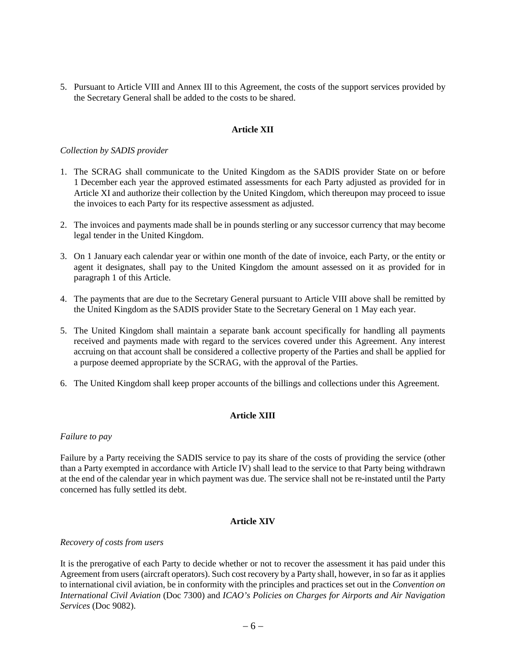5. Pursuant to Article VIII and Annex III to this Agreement, the costs of the support services provided by the Secretary General shall be added to the costs to be shared.

#### **Article XII**

#### *Collection by SADIS provider*

- 1. The SCRAG shall communicate to the United Kingdom as the SADIS provider State on or before 1 December each year the approved estimated assessments for each Party adjusted as provided for in Article XI and authorize their collection by the United Kingdom, which thereupon may proceed to issue the invoices to each Party for its respective assessment as adjusted.
- 2. The invoices and payments made shall be in pounds sterling or any successor currency that may become legal tender in the United Kingdom.
- 3. On 1 January each calendar year or within one month of the date of invoice, each Party, or the entity or agent it designates, shall pay to the United Kingdom the amount assessed on it as provided for in paragraph 1 of this Article.
- 4. The payments that are due to the Secretary General pursuant to Article VIII above shall be remitted by the United Kingdom as the SADIS provider State to the Secretary General on 1 May each year.
- 5. The United Kingdom shall maintain a separate bank account specifically for handling all payments received and payments made with regard to the services covered under this Agreement. Any interest accruing on that account shall be considered a collective property of the Parties and shall be applied for a purpose deemed appropriate by the SCRAG, with the approval of the Parties.
- 6. The United Kingdom shall keep proper accounts of the billings and collections under this Agreement.

#### **Article XIII**

*Failure to pay*

Failure by a Party receiving the SADIS service to pay its share of the costs of providing the service (other than a Party exempted in accordance with Article IV) shall lead to the service to that Party being withdrawn at the end of the calendar year in which payment was due. The service shall not be re-instated until the Party concerned has fully settled its debt.

#### **Article XIV**

#### *Recovery of costs from users*

It is the prerogative of each Party to decide whether or not to recover the assessment it has paid under this Agreement from users (aircraft operators). Such cost recovery by a Party shall, however, in so far as it applies to international civil aviation, be in conformity with the principles and practices set out in the *Convention on International Civil Aviation* (Doc 7300) and *ICAO's Policies on Charges for Airports and Air Navigation Services* (Doc 9082).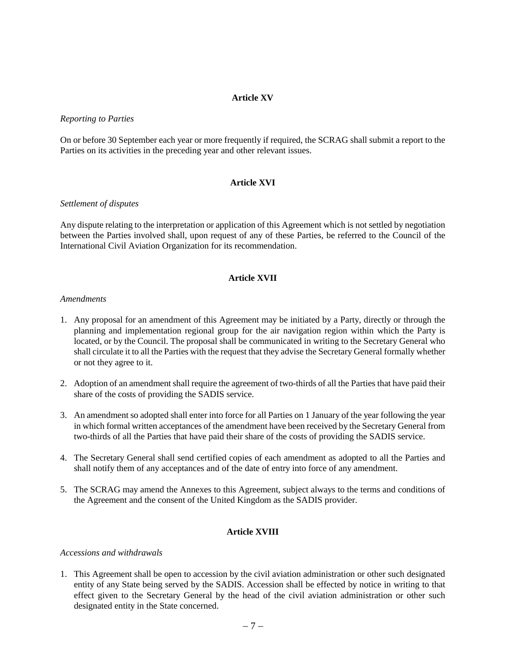#### **Article XV**

#### *Reporting to Parties*

On or before 30 September each year or more frequently if required, the SCRAG shall submit a report to the Parties on its activities in the preceding year and other relevant issues.

#### **Article XVI**

#### *Settlement of disputes*

Any dispute relating to the interpretation or application of this Agreement which is not settled by negotiation between the Parties involved shall, upon request of any of these Parties, be referred to the Council of the International Civil Aviation Organization for its recommendation.

#### **Article XVII**

#### *Amendments*

- 1. Any proposal for an amendment of this Agreement may be initiated by a Party, directly or through the planning and implementation regional group for the air navigation region within which the Party is located, or by the Council. The proposal shall be communicated in writing to the Secretary General who shall circulate it to all the Parties with the request that they advise the Secretary General formally whether or not they agree to it.
- 2. Adoption of an amendment shall require the agreement of two-thirds of all the Parties that have paid their share of the costs of providing the SADIS service.
- 3. An amendment so adopted shall enter into force for all Parties on 1 January of the year following the year in which formal written acceptances of the amendment have been received by the Secretary General from two-thirds of all the Parties that have paid their share of the costs of providing the SADIS service.
- 4. The Secretary General shall send certified copies of each amendment as adopted to all the Parties and shall notify them of any acceptances and of the date of entry into force of any amendment.
- 5. The SCRAG may amend the Annexes to this Agreement, subject always to the terms and conditions of the Agreement and the consent of the United Kingdom as the SADIS provider.

#### **Article XVIII**

#### *Accessions and withdrawals*

1. This Agreement shall be open to accession by the civil aviation administration or other such designated entity of any State being served by the SADIS. Accession shall be effected by notice in writing to that effect given to the Secretary General by the head of the civil aviation administration or other such designated entity in the State concerned.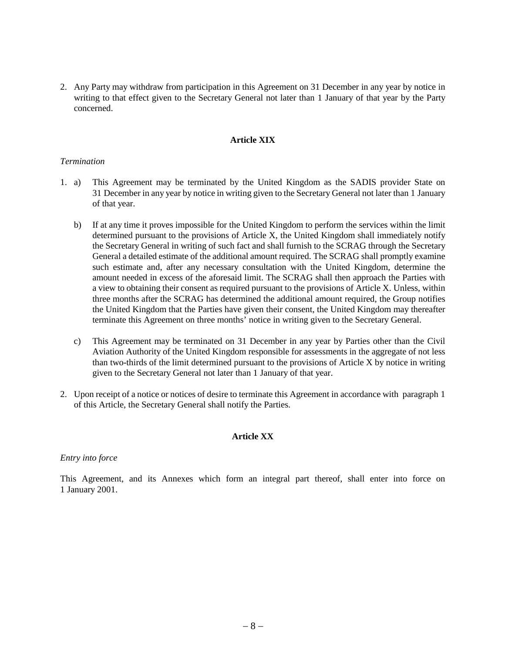2. Any Party may withdraw from participation in this Agreement on 31 December in any year by notice in writing to that effect given to the Secretary General not later than 1 January of that year by the Party concerned.

#### **Article XIX**

#### *Termination*

- 1. a) This Agreement may be terminated by the United Kingdom as the SADIS provider State on 31 December in any year by notice in writing given to the Secretary General not later than 1 January of that year.
	- b) If at any time it proves impossible for the United Kingdom to perform the services within the limit determined pursuant to the provisions of Article X, the United Kingdom shall immediately notify the Secretary General in writing of such fact and shall furnish to the SCRAG through the Secretary General a detailed estimate of the additional amount required. The SCRAG shall promptly examine such estimate and, after any necessary consultation with the United Kingdom, determine the amount needed in excess of the aforesaid limit. The SCRAG shall then approach the Parties with a view to obtaining their consent as required pursuant to the provisions of Article X. Unless, within three months after the SCRAG has determined the additional amount required, the Group notifies the United Kingdom that the Parties have given their consent, the United Kingdom may thereafter terminate this Agreement on three months' notice in writing given to the Secretary General.
	- c) This Agreement may be terminated on 31 December in any year by Parties other than the Civil Aviation Authority of the United Kingdom responsible for assessments in the aggregate of not less than two-thirds of the limit determined pursuant to the provisions of Article X by notice in writing given to the Secretary General not later than 1 January of that year.
- 2. Upon receipt of a notice or notices of desire to terminate this Agreement in accordance with paragraph 1 of this Article, the Secretary General shall notify the Parties.

#### **Article XX**

#### *Entry into force*

This Agreement, and its Annexes which form an integral part thereof, shall enter into force on 1 January 2001.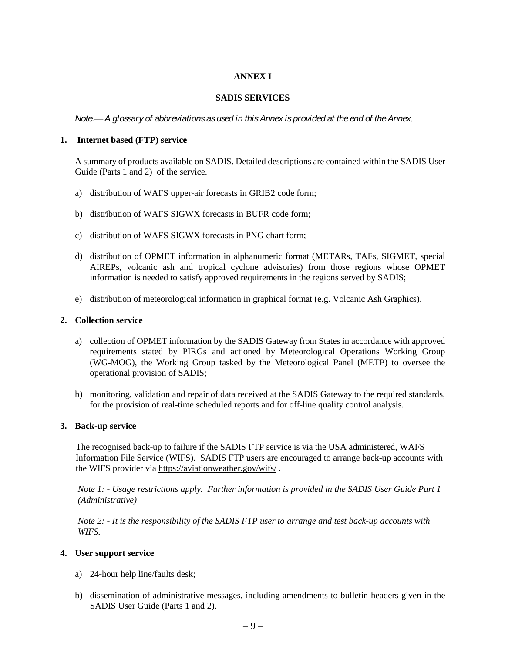#### **ANNEX I**

#### **SADIS SERVICES**

*Note.—A glossary of abbreviations as used in this Annex is provided at the end of the Annex*.

#### **1. Internet based (FTP) service**

A summary of products available on SADIS. Detailed descriptions are contained within the SADIS User Guide (Parts 1 and 2) of the service.

- a) distribution of WAFS upper-air forecasts in GRIB2 code form;
- b) distribution of WAFS SIGWX forecasts in BUFR code form;
- c) distribution of WAFS SIGWX forecasts in PNG chart form;
- d) distribution of OPMET information in alphanumeric format (METARs, TAFs, SIGMET, special AIREPs, volcanic ash and tropical cyclone advisories) from those regions whose OPMET information is needed to satisfy approved requirements in the regions served by SADIS;
- e) distribution of meteorological information in graphical format (e.g. Volcanic Ash Graphics).

#### **2. Collection service**

- a) collection of OPMET information by the SADIS Gateway from States in accordance with approved requirements stated by PIRGs and actioned by Meteorological Operations Working Group (WG-MOG), the Working Group tasked by the Meteorological Panel (METP) to oversee the operational provision of SADIS;
- b) monitoring, validation and repair of data received at the SADIS Gateway to the required standards, for the provision of real-time scheduled reports and for off-line quality control analysis.

#### **3. Back-up service**

The recognised back-up to failure if the SADIS FTP service is via the USA administered, WAFS Information File Service (WIFS). SADIS FTP users are encouraged to arrange back-up accounts with the WIFS provider via<https://aviationweather.gov/wifs/> .

*Note 1: - Usage restrictions apply. Further information is provided in the SADIS User Guide Part 1 (Administrative)*

*Note 2: - It is the responsibility of the SADIS FTP user to arrange and test back-up accounts with WIFS.*

#### **4. User support service**

- a) 24-hour help line/faults desk;
- b) dissemination of administrative messages, including amendments to bulletin headers given in the SADIS User Guide (Parts 1 and 2).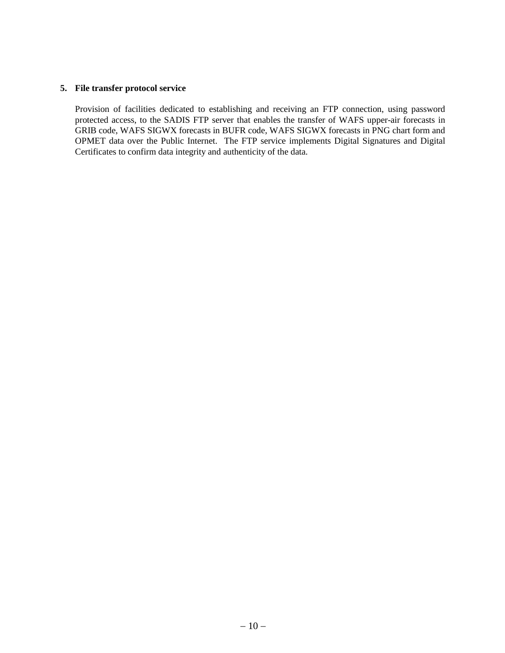#### **5. File transfer protocol service**

Provision of facilities dedicated to establishing and receiving an FTP connection, using password protected access, to the SADIS FTP server that enables the transfer of WAFS upper-air forecasts in GRIB code, WAFS SIGWX forecasts in BUFR code, WAFS SIGWX forecasts in PNG chart form and OPMET data over the Public Internet. The FTP service implements Digital Signatures and Digital Certificates to confirm data integrity and authenticity of the data.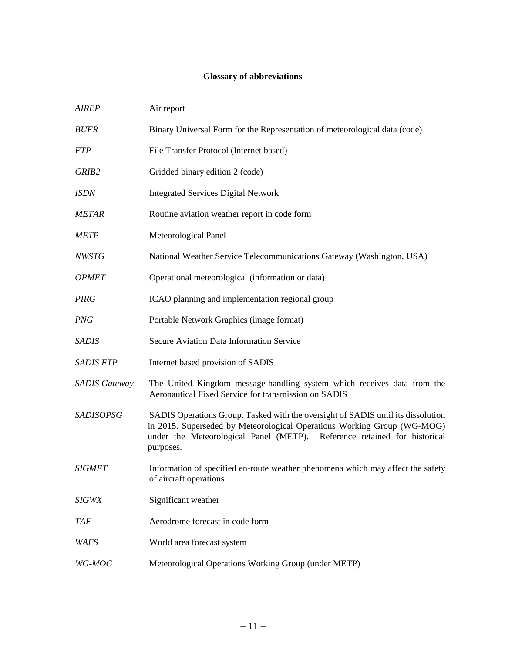### **Glossary of abbreviations**

| <b>AIREP</b>         | Air report                                                                                                                                                                                                                                           |
|----------------------|------------------------------------------------------------------------------------------------------------------------------------------------------------------------------------------------------------------------------------------------------|
| <b>BUFR</b>          | Binary Universal Form for the Representation of meteorological data (code)                                                                                                                                                                           |
| <b>FTP</b>           | File Transfer Protocol (Internet based)                                                                                                                                                                                                              |
| GRIB <sub>2</sub>    | Gridded binary edition 2 (code)                                                                                                                                                                                                                      |
| <b>ISDN</b>          | <b>Integrated Services Digital Network</b>                                                                                                                                                                                                           |
| <b>METAR</b>         | Routine aviation weather report in code form                                                                                                                                                                                                         |
| <b>METP</b>          | Meteorological Panel                                                                                                                                                                                                                                 |
| <b>NWSTG</b>         | National Weather Service Telecommunications Gateway (Washington, USA)                                                                                                                                                                                |
| <b>OPMET</b>         | Operational meteorological (information or data)                                                                                                                                                                                                     |
| <b>PIRG</b>          | ICAO planning and implementation regional group                                                                                                                                                                                                      |
| <b>PNG</b>           | Portable Network Graphics (image format)                                                                                                                                                                                                             |
| <b>SADIS</b>         | <b>Secure Aviation Data Information Service</b>                                                                                                                                                                                                      |
| <b>SADIS FTP</b>     | Internet based provision of SADIS                                                                                                                                                                                                                    |
| <b>SADIS Gateway</b> | The United Kingdom message-handling system which receives data from the<br>Aeronautical Fixed Service for transmission on SADIS                                                                                                                      |
| <b>SADISOPSG</b>     | SADIS Operations Group. Tasked with the oversight of SADIS until its dissolution<br>in 2015. Superseded by Meteorological Operations Working Group (WG-MOG)<br>under the Meteorological Panel (METP). Reference retained for historical<br>purposes. |
| <i>SIGMET</i>        | Information of specified en-route weather phenomena which may affect the safety<br>of aircraft operations                                                                                                                                            |
| <b>SIGWX</b>         | Significant weather                                                                                                                                                                                                                                  |
| <b>TAF</b>           | Aerodrome forecast in code form                                                                                                                                                                                                                      |
| WAFS                 | World area forecast system                                                                                                                                                                                                                           |
| WG-MOG               | Meteorological Operations Working Group (under METP)                                                                                                                                                                                                 |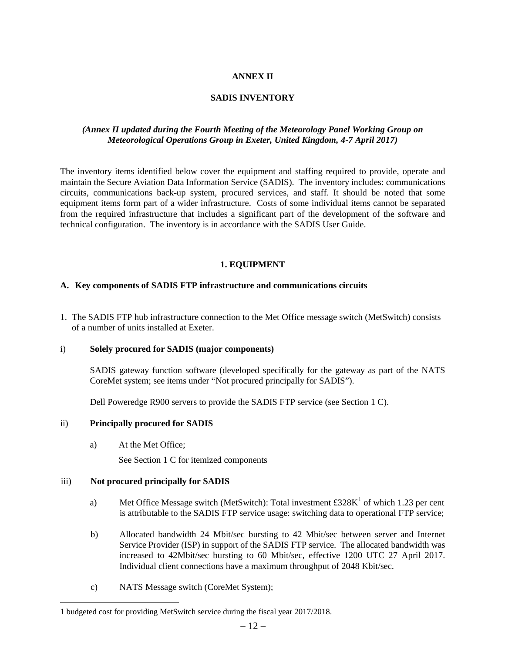#### **ANNEX II**

#### **SADIS INVENTORY**

#### *(Annex II updated during the Fourth Meeting of the Meteorology Panel Working Group on Meteorological Operations Group in Exeter, United Kingdom, 4-7 April 2017)*

The inventory items identified below cover the equipment and staffing required to provide, operate and maintain the Secure Aviation Data Information Service (SADIS). The inventory includes: communications circuits, communications back-up system, procured services, and staff. It should be noted that some equipment items form part of a wider infrastructure. Costs of some individual items cannot be separated from the required infrastructure that includes a significant part of the development of the software and technical configuration. The inventory is in accordance with the SADIS User Guide.

#### **1. EQUIPMENT**

#### **A. Key components of SADIS FTP infrastructure and communications circuits**

1. The SADIS FTP hub infrastructure connection to the Met Office message switch (MetSwitch) consists of a number of units installed at Exeter.

#### i) **Solely procured for SADIS (major components)**

SADIS gateway function software (developed specifically for the gateway as part of the NATS CoreMet system; see items under "Not procured principally for SADIS").

Dell Poweredge R900 servers to provide the SADIS FTP service (see Section 1 C).

#### ii) **Principally procured for SADIS**

a) At the Met Office;

<u>.</u>

See Section 1 C for itemized components

#### iii) **Not procured principally for SADIS**

- a) Met Office Message switch (MetSwitch): Total investment  $\text{\pounds}328K^1$  $\text{\pounds}328K^1$  of which 1.23 per cent is attributable to the SADIS FTP service usage: switching data to operational FTP service;
- b) Allocated bandwidth 24 Mbit/sec bursting to 42 Mbit/sec between server and Internet Service Provider (ISP) in support of the SADIS FTP service. The allocated bandwidth was increased to 42Mbit/sec bursting to 60 Mbit/sec, effective 1200 UTC 27 April 2017. Individual client connections have a maximum throughput of 2048 Kbit/sec.
- c) NATS Message switch (CoreMet System);

<span id="page-11-0"></span><sup>1</sup> budgeted cost for providing MetSwitch service during the fiscal year 2017/2018.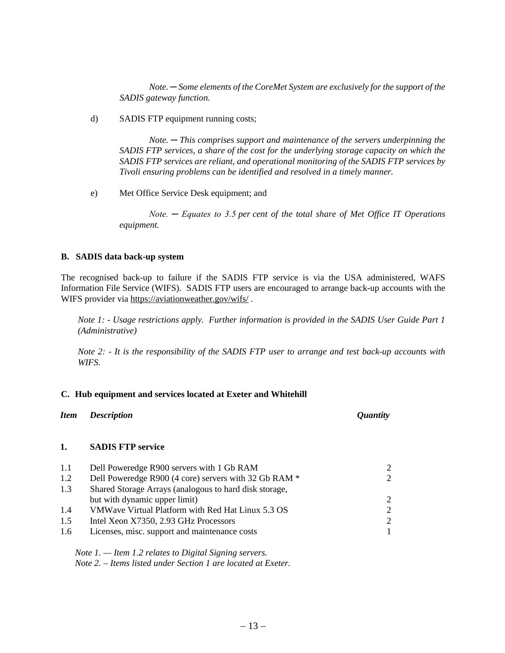*Note. ─ Some elements of the CoreMet System are exclusively for the support of the SADIS gateway function.*

d) SADIS FTP equipment running costs;

*Note. ─ This comprises support and maintenance of the servers underpinning the SADIS FTP services, a share of the cost for the underlying storage capacity on which the SADIS FTP services are reliant, and operational monitoring of the SADIS FTP services by Tivoli ensuring problems can be identified and resolved in a timely manner.*

e) Met Office Service Desk equipment; and

*Note. ─ Equates to 3.5 per cent of the total share of Met Office IT Operations equipment.*

#### **B. SADIS data back-up system**

The recognised back-up to failure if the SADIS FTP service is via the USA administered, WAFS Information File Service (WIFS). SADIS FTP users are encouraged to arrange back-up accounts with the WIFS provider via<https://aviationweather.gov/wifs/>.

*Note 1: - Usage restrictions apply. Further information is provided in the SADIS User Guide Part 1 (Administrative)*

*Note 2: - It is the responsibility of the SADIS FTP user to arrange and test back-up accounts with WIFS.*

#### **C. Hub equipment and services located at Exeter and Whitehill**

| <b>SADIS FTP service</b><br>1.<br>1.1<br>Dell Poweredge R900 servers with 1 Gb RAM<br>Dell Poweredge R900 (4 core) servers with 32 Gb RAM *<br>1.2<br>1.3<br>Shared Storage Arrays (analogous to hard disk storage,<br>but with dynamic upper limit)<br>VMWave Virtual Platform with Red Hat Linux 5.3 OS<br>1.4 | $\overline{2}$<br>$\overline{2}$<br>$\overline{2}$<br>$\overline{2}$<br>$\overline{2}$<br>1<br>Note $1.$ — Item 1.2 relates to Digital Signing servers. | <b>Item</b> | <b>Description</b> | <i><b>Ouantity</b></i> |
|------------------------------------------------------------------------------------------------------------------------------------------------------------------------------------------------------------------------------------------------------------------------------------------------------------------|---------------------------------------------------------------------------------------------------------------------------------------------------------|-------------|--------------------|------------------------|
|                                                                                                                                                                                                                                                                                                                  |                                                                                                                                                         |             |                    |                        |
|                                                                                                                                                                                                                                                                                                                  |                                                                                                                                                         |             |                    |                        |
|                                                                                                                                                                                                                                                                                                                  |                                                                                                                                                         |             |                    |                        |
|                                                                                                                                                                                                                                                                                                                  |                                                                                                                                                         |             |                    |                        |
|                                                                                                                                                                                                                                                                                                                  |                                                                                                                                                         |             |                    |                        |
|                                                                                                                                                                                                                                                                                                                  |                                                                                                                                                         |             |                    |                        |
| 1.5<br>Intel Xeon X7350, 2.93 GHz Processors                                                                                                                                                                                                                                                                     |                                                                                                                                                         |             |                    |                        |
| 1.6<br>Licenses, misc. support and maintenance costs                                                                                                                                                                                                                                                             |                                                                                                                                                         |             |                    |                        |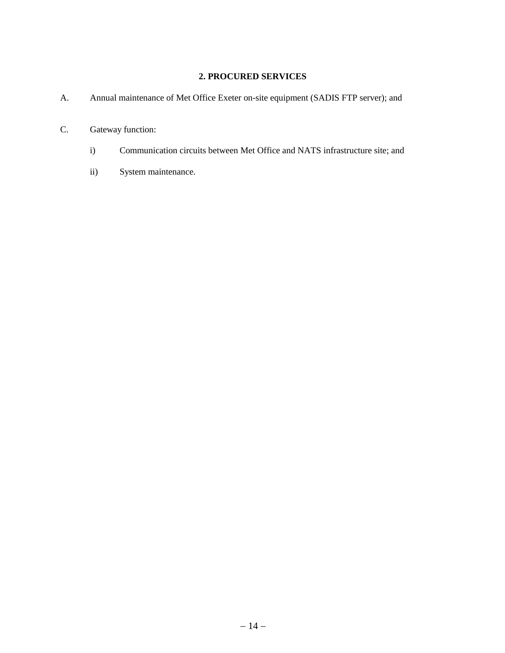## **2. PROCURED SERVICES**

- A. Annual maintenance of Met Office Exeter on-site equipment (SADIS FTP server); and
- C. Gateway function:
	- i) Communication circuits between Met Office and NATS infrastructure site; and
	- ii) System maintenance.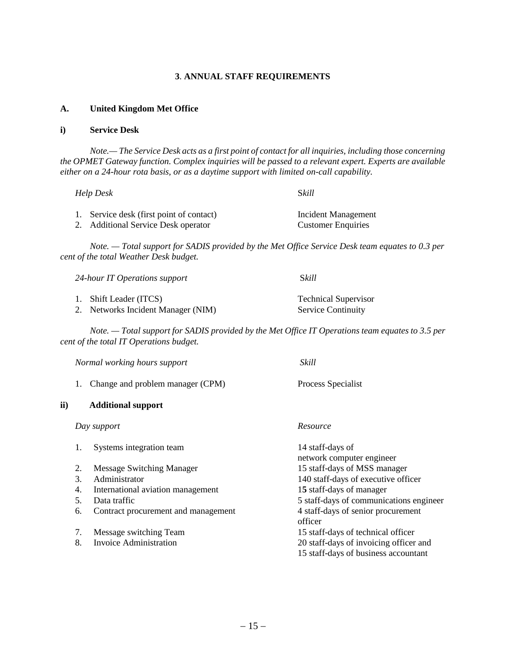#### **3**. **ANNUAL STAFF REQUIREMENTS**

#### **A. United Kingdom Met Office**

#### **i) Service Desk**

*Note.— The Service Desk acts as a first point of contact for all inquiries, including those concerning the OPMET Gateway function. Complex inquiries will be passed to a relevant expert. Experts are available either on a 24-hour rota basis, or as a daytime support with limited on-call capability.*

| <b>Help Desk</b> | Skill |
|------------------|-------|
|                  |       |

| 1. | Service desk (first point of contact) | <b>Incident Management</b> |
|----|---------------------------------------|----------------------------|
|    | 2. Additional Service Desk operator   | <b>Customer Enquiries</b>  |

*Note. — Total support for SADIS provided by the Met Office Service Desk team equates to 0.3 per cent of the total Weather Desk budget.*

| 24-hour IT Operations support      | Skill                       |
|------------------------------------|-----------------------------|
| 1. Shift Leader (ITCS)             | <b>Technical Supervisor</b> |
| 2. Networks Incident Manager (NIM) | <b>Service Continuity</b>   |

*Note. — Total support for SADIS provided by the Met Office IT Operations team equates to 3.5 per cent of the total IT Operations budget.*

|     |    | Normal working hours support        | Skill                                         |
|-----|----|-------------------------------------|-----------------------------------------------|
|     |    | Change and problem manager (CPM)    | Process Specialist                            |
| ii) |    | <b>Additional support</b>           |                                               |
|     |    | Day support                         | Resource                                      |
|     |    | Systems integration team            | 14 staff-days of<br>network computer engineer |
|     | 2. | <b>Message Switching Manager</b>    | 15 staff-days of MSS manager                  |
|     | 3. | Administrator                       | 140 staff-days of executive officer           |
|     | 4. | International aviation management   | 15 staff-days of manager                      |
|     | 5. | Data traffic                        | 5 staff-days of communications engineer       |
|     | 6. | Contract procurement and management | 4 staff-days of senior procurement            |

| $\mathbf{\tau}$<br>$\overline{\phantom{a}}$ | Message switching Team |  |
|---------------------------------------------|------------------------|--|
|---------------------------------------------|------------------------|--|

| 8. |  | Invoice Administration |
|----|--|------------------------|
|    |  |                        |

officer

15 staff-days of technical officer 20 staff-days of invoicing officer and 15 staff-days of business accountant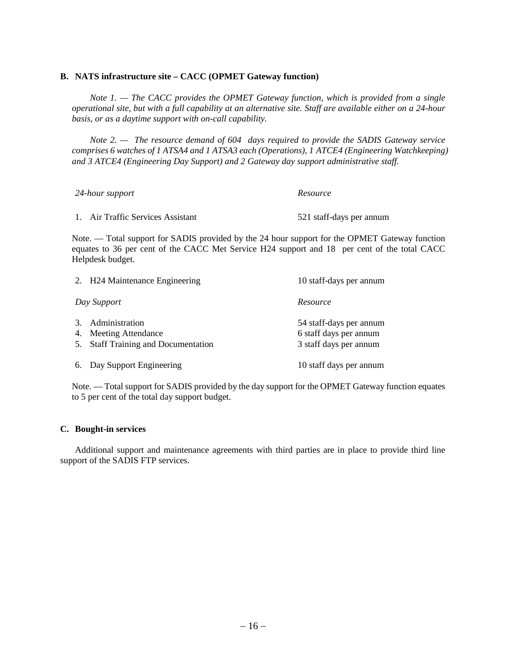#### **B. NATS infrastructure site – CACC (OPMET Gateway function)**

*Note 1. — The CACC provides the OPMET Gateway function, which is provided from a single operational site, but with a full capability at an alternative site. Staff are available either on a 24-hour basis, or as a daytime support with on-call capability.* 

*Note 2. — The resource demand of 604 days required to provide the SADIS Gateway service comprises 6 watches of 1 ATSA4 and 1 ATSA3 each (Operations), 1 ATCE4 (Engineering Watchkeeping) and 3 ATCE4 (Engineering Day Support) and 2 Gateway day support administrative staff.*

| 24-hour support                   | Resource                 |
|-----------------------------------|--------------------------|
| 1. Air Traffic Services Assistant | 521 staff-days per annum |

Note. — Total support for SADIS provided by the 24 hour support for the OPMET Gateway function equates to 36 per cent of the CACC Met Service H24 support and 18 per cent of the total CACC Helpdesk budget.

| 2. H24 Maintenance Engineering                                                    | 10 staff-days per annum                                                     |
|-----------------------------------------------------------------------------------|-----------------------------------------------------------------------------|
| Day Support                                                                       | Resource                                                                    |
| 3. Administration<br>4. Meeting Attendance<br>5. Staff Training and Documentation | 54 staff-days per annum<br>6 staff days per annum<br>3 staff days per annum |
| 6. Day Support Engineering                                                        | 10 staff days per annum                                                     |

Note. — Total support for SADIS provided by the day support for the OPMET Gateway function equates to 5 per cent of the total day support budget.

#### **C. Bought-in services**

Additional support and maintenance agreements with third parties are in place to provide third line support of the SADIS FTP services.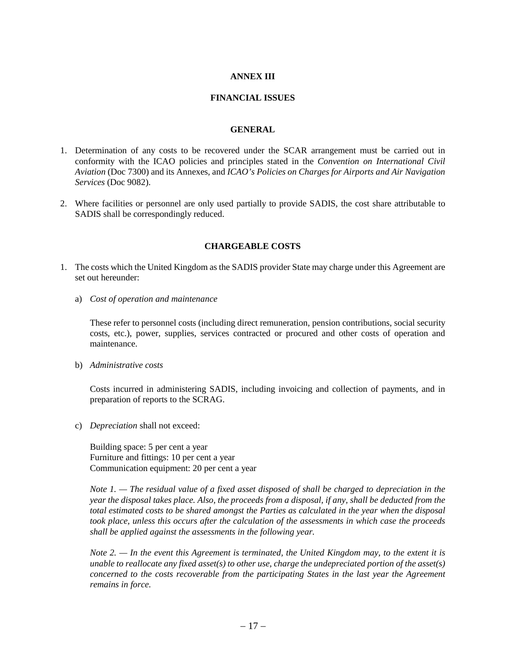#### **ANNEX III**

#### **FINANCIAL ISSUES**

#### **GENERAL**

- 1. Determination of any costs to be recovered under the SCAR arrangement must be carried out in conformity with the ICAO policies and principles stated in the *Convention on International Civil Aviation* (Doc 7300) and its Annexes, and *ICAO's Policies on Charges for Airports and Air Navigation Services* (Doc 9082).
- 2. Where facilities or personnel are only used partially to provide SADIS, the cost share attributable to SADIS shall be correspondingly reduced.

#### **CHARGEABLE COSTS**

- 1. The costs which the United Kingdom as the SADIS provider State may charge under this Agreement are set out hereunder:
	- a) *Cost of operation and maintenance*

These refer to personnel costs (including direct remuneration, pension contributions, social security costs, etc.), power, supplies, services contracted or procured and other costs of operation and maintenance.

b) *Administrative costs*

Costs incurred in administering SADIS, including invoicing and collection of payments, and in preparation of reports to the SCRAG.

c) *Depreciation* shall not exceed:

Building space: 5 per cent a year Furniture and fittings: 10 per cent a year Communication equipment: 20 per cent a year

*Note 1. — The residual value of a fixed asset disposed of shall be charged to depreciation in the year the disposal takes place. Also, the proceeds from a disposal, if any, shall be deducted from the total estimated costs to be shared amongst the Parties as calculated in the year when the disposal took place, unless this occurs after the calculation of the assessments in which case the proceeds shall be applied against the assessments in the following year.*

*Note 2. — In the event this Agreement is terminated, the United Kingdom may, to the extent it is unable to reallocate any fixed asset(s) to other use, charge the undepreciated portion of the asset(s) concerned to the costs recoverable from the participating States in the last year the Agreement remains in force.*